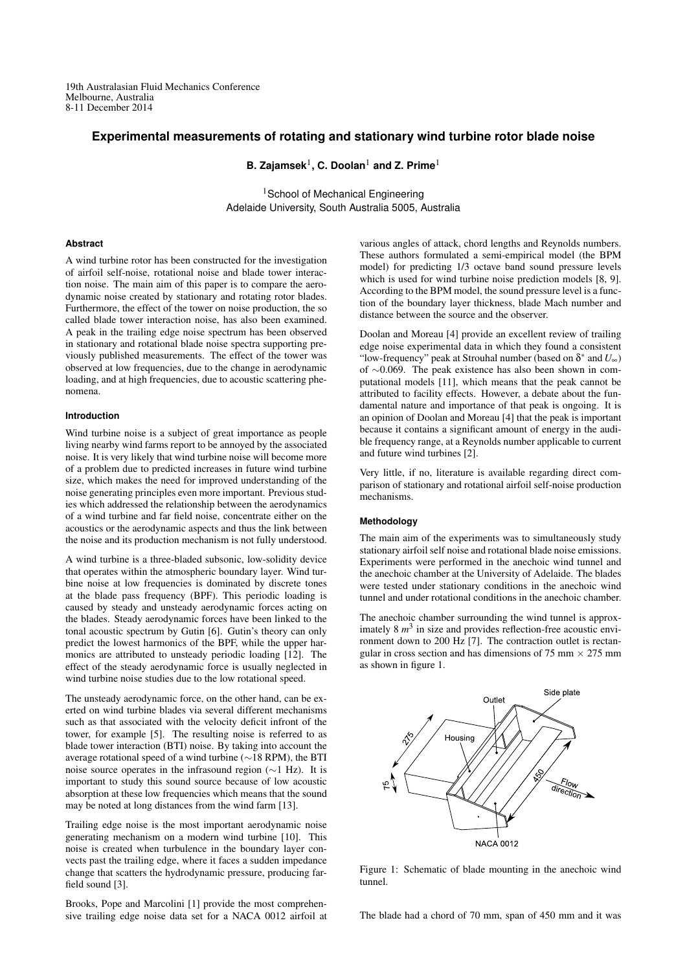19th Australasian Fluid Mechanics Conference Melbourne, Australia 8-11 December 2014

# **Experimental measurements of rotating and stationary wind turbine rotor blade noise**

**B. Zajamsek**<sup>1</sup> **, C. Doolan**<sup>1</sup> **and Z. Prime**<sup>1</sup>

<sup>1</sup>School of Mechanical Engineering Adelaide University, South Australia 5005, Australia

## **Abstract**

A wind turbine rotor has been constructed for the investigation of airfoil self-noise, rotational noise and blade tower interaction noise. The main aim of this paper is to compare the aerodynamic noise created by stationary and rotating rotor blades. Furthermore, the effect of the tower on noise production, the so called blade tower interaction noise, has also been examined. A peak in the trailing edge noise spectrum has been observed in stationary and rotational blade noise spectra supporting previously published measurements. The effect of the tower was observed at low frequencies, due to the change in aerodynamic loading, and at high frequencies, due to acoustic scattering phenomena.

## **Introduction**

Wind turbine noise is a subject of great importance as people living nearby wind farms report to be annoyed by the associated noise. It is very likely that wind turbine noise will become more of a problem due to predicted increases in future wind turbine size, which makes the need for improved understanding of the noise generating principles even more important. Previous studies which addressed the relationship between the aerodynamics of a wind turbine and far field noise, concentrate either on the acoustics or the aerodynamic aspects and thus the link between the noise and its production mechanism is not fully understood.

A wind turbine is a three-bladed subsonic, low-solidity device that operates within the atmospheric boundary layer. Wind turbine noise at low frequencies is dominated by discrete tones at the blade pass frequency (BPF). This periodic loading is caused by steady and unsteady aerodynamic forces acting on the blades. Steady aerodynamic forces have been linked to the tonal acoustic spectrum by Gutin [6]. Gutin's theory can only predict the lowest harmonics of the BPF, while the upper harmonics are attributed to unsteady periodic loading [12]. The effect of the steady aerodynamic force is usually neglected in wind turbine noise studies due to the low rotational speed.

The unsteady aerodynamic force, on the other hand, can be exerted on wind turbine blades via several different mechanisms such as that associated with the velocity deficit infront of the tower, for example [5]. The resulting noise is referred to as blade tower interaction (BTI) noise. By taking into account the average rotational speed of a wind turbine (∼18 RPM), the BTI noise source operates in the infrasound region (∼1 Hz). It is important to study this sound source because of low acoustic absorption at these low frequencies which means that the sound may be noted at long distances from the wind farm [13].

Trailing edge noise is the most important aerodynamic noise generating mechanism on a modern wind turbine [10]. This noise is created when turbulence in the boundary layer convects past the trailing edge, where it faces a sudden impedance change that scatters the hydrodynamic pressure, producing farfield sound [3].

Brooks, Pope and Marcolini [1] provide the most comprehensive trailing edge noise data set for a NACA 0012 airfoil at various angles of attack, chord lengths and Reynolds numbers. These authors formulated a semi-empirical model (the BPM model) for predicting 1/3 octave band sound pressure levels which is used for wind turbine noise prediction models [8, 9]. According to the BPM model, the sound pressure level is a function of the boundary layer thickness, blade Mach number and distance between the source and the observer.

Doolan and Moreau [4] provide an excellent review of trailing edge noise experimental data in which they found a consistent "low-frequency" peak at Strouhal number (based on δ ∗ and *U*∞) of ∼0.069. The peak existence has also been shown in computational models [11], which means that the peak cannot be attributed to facility effects. However, a debate about the fundamental nature and importance of that peak is ongoing. It is an opinion of Doolan and Moreau [4] that the peak is important because it contains a significant amount of energy in the audible frequency range, at a Reynolds number applicable to current and future wind turbines [2].

Very little, if no, literature is available regarding direct comparison of stationary and rotational airfoil self-noise production mechanisms.

## **Methodology**

The main aim of the experiments was to simultaneously study stationary airfoil self noise and rotational blade noise emissions. Experiments were performed in the anechoic wind tunnel and the anechoic chamber at the University of Adelaide. The blades were tested under stationary conditions in the anechoic wind tunnel and under rotational conditions in the anechoic chamber.

The anechoic chamber surrounding the wind tunnel is approximately 8  $m^3$  in size and provides reflection-free acoustic environment down to 200 Hz [7]. The contraction outlet is rectangular in cross section and has dimensions of 75 mm  $\times$  275 mm as shown in figure 1.



Figure 1: Schematic of blade mounting in the anechoic wind tunnel.

The blade had a chord of 70 mm, span of 450 mm and it was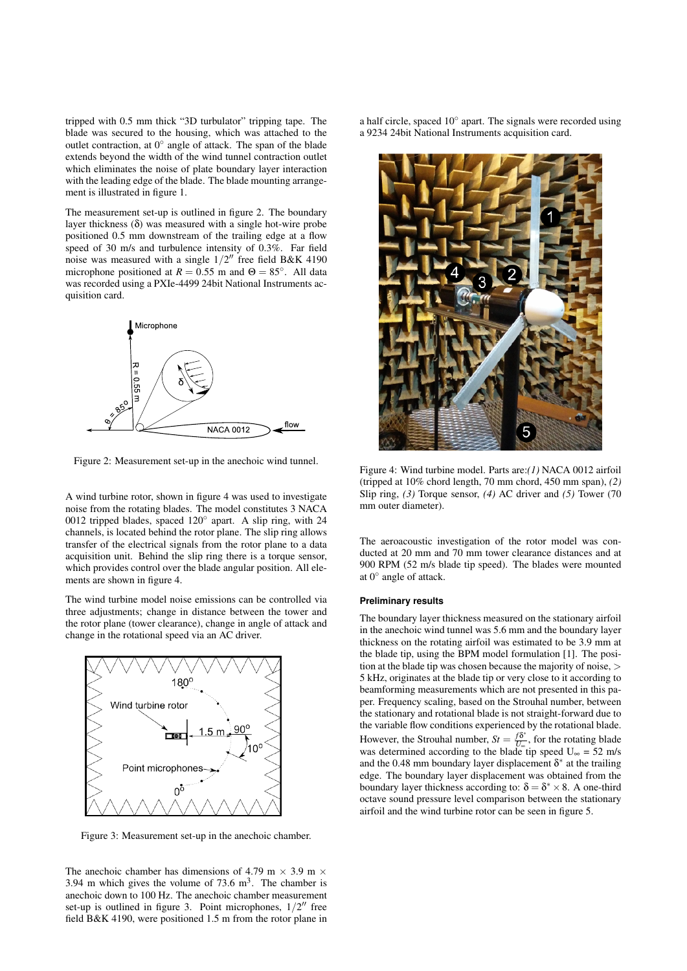tripped with 0.5 mm thick "3D turbulator" tripping tape. The blade was secured to the housing, which was attached to the outlet contraction, at 0° angle of attack. The span of the blade extends beyond the width of the wind tunnel contraction outlet which eliminates the noise of plate boundary layer interaction with the leading edge of the blade. The blade mounting arrangement is illustrated in figure 1.

The measurement set-up is outlined in figure 2. The boundary layer thickness (δ) was measured with a single hot-wire probe positioned 0.5 mm downstream of the trailing edge at a flow speed of 30 m/s and turbulence intensity of 0.3%. Far field noise was measured with a single  $1/2''$  free field B&K 4190 microphone positioned at  $R = 0.55$  m and  $\Theta = 85^\circ$ . All data was recorded using a PXIe-4499 24bit National Instruments acquisition card.



Figure 2: Measurement set-up in the anechoic wind tunnel.

A wind turbine rotor, shown in figure 4 was used to investigate noise from the rotating blades. The model constitutes 3 NACA 0012 tripped blades, spaced 120◦ apart. A slip ring, with 24 channels, is located behind the rotor plane. The slip ring allows transfer of the electrical signals from the rotor plane to a data acquisition unit. Behind the slip ring there is a torque sensor, which provides control over the blade angular position. All elements are shown in figure 4.

The wind turbine model noise emissions can be controlled via three adjustments; change in distance between the tower and the rotor plane (tower clearance), change in angle of attack and change in the rotational speed via an AC driver.



Figure 3: Measurement set-up in the anechoic chamber.

The anechoic chamber has dimensions of 4.79 m  $\times$  3.9 m  $\times$ 3.94 m which gives the volume of  $73.6 \text{ m}^3$ . The chamber is anechoic down to 100 Hz. The anechoic chamber measurement set-up is outlined in figure 3. Point microphones,  $1/2$ <sup>"</sup> free field B&K 4190, were positioned 1.5 m from the rotor plane in

a half circle, spaced 10° apart. The signals were recorded using a 9234 24bit National Instruments acquisition card.



Figure 4: Wind turbine model. Parts are:*(1)* NACA 0012 airfoil (tripped at 10% chord length, 70 mm chord, 450 mm span), *(2)* Slip ring, *(3)* Torque sensor, *(4)* AC driver and *(5)* Tower (70 mm outer diameter).

The aeroacoustic investigation of the rotor model was conducted at 20 mm and 70 mm tower clearance distances and at 900 RPM (52 m/s blade tip speed). The blades were mounted at 0◦ angle of attack.

#### **Preliminary results**

The boundary layer thickness measured on the stationary airfoil in the anechoic wind tunnel was 5.6 mm and the boundary layer thickness on the rotating airfoil was estimated to be 3.9 mm at the blade tip, using the BPM model formulation [1]. The position at the blade tip was chosen because the majority of noise, > 5 kHz, originates at the blade tip or very close to it according to beamforming measurements which are not presented in this paper. Frequency scaling, based on the Strouhal number, between the stationary and rotational blade is not straight-forward due to the variable flow conditions experienced by the rotational blade. However, the Strouhal number,  $St = \frac{f\delta^*}{U}$  $\frac{J_0}{U_{\infty}}$ , for the rotating blade was determined according to the blade tip speed  $U_{\infty} = 52$  m/s and the 0.48 mm boundary layer displacement  $\delta^*$  at the trailing edge. The boundary layer displacement was obtained from the boundary layer thickness according to:  $\delta = \delta^* \times 8$ . A one-third octave sound pressure level comparison between the stationary airfoil and the wind turbine rotor can be seen in figure 5.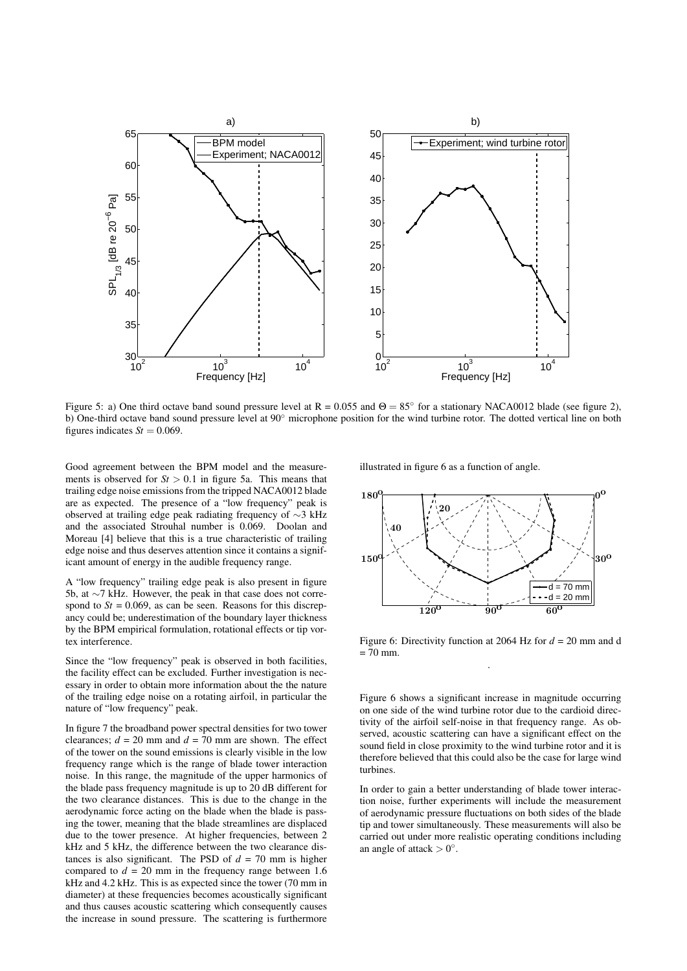

Figure 5: a) One third octave band sound pressure level at  $R = 0.055$  and  $\Theta = 85^\circ$  for a stationary NACA0012 blade (see figure 2), b) One-third octave band sound pressure level at 90◦ microphone position for the wind turbine rotor. The dotted vertical line on both figures indicates  $St = 0.069$ .

Good agreement between the BPM model and the measurements is observed for  $St > 0.1$  in figure 5a. This means that trailing edge noise emissions from the tripped NACA0012 blade are as expected. The presence of a "low frequency" peak is observed at trailing edge peak radiating frequency of ∼3 kHz and the associated Strouhal number is 0.069. Doolan and Moreau [4] believe that this is a true characteristic of trailing edge noise and thus deserves attention since it contains a significant amount of energy in the audible frequency range.

A "low frequency" trailing edge peak is also present in figure 5b, at ∼7 kHz. However, the peak in that case does not correspond to  $St = 0.069$ , as can be seen. Reasons for this discrepancy could be; underestimation of the boundary layer thickness by the BPM empirical formulation, rotational effects or tip vortex interference.

Since the "low frequency" peak is observed in both facilities, the facility effect can be excluded. Further investigation is necessary in order to obtain more information about the the nature of the trailing edge noise on a rotating airfoil, in particular the nature of "low frequency" peak.

In figure 7 the broadband power spectral densities for two tower clearances;  $d = 20$  mm and  $d = 70$  mm are shown. The effect of the tower on the sound emissions is clearly visible in the low frequency range which is the range of blade tower interaction noise. In this range, the magnitude of the upper harmonics of the blade pass frequency magnitude is up to 20 dB different for the two clearance distances. This is due to the change in the aerodynamic force acting on the blade when the blade is passing the tower, meaning that the blade streamlines are displaced due to the tower presence. At higher frequencies, between 2 kHz and 5 kHz, the difference between the two clearance distances is also significant. The PSD of  $d = 70$  mm is higher compared to  $d = 20$  mm in the frequency range between 1.6 kHz and 4.2 kHz. This is as expected since the tower (70 mm in diameter) at these frequencies becomes acoustically significant and thus causes acoustic scattering which consequently causes the increase in sound pressure. The scattering is furthermore

illustrated in figure 6 as a function of angle.



Figure 6: Directivity function at 2064 Hz for *d* = 20 mm and d  $= 70$  mm. .

Figure 6 shows a significant increase in magnitude occurring on one side of the wind turbine rotor due to the cardioid directivity of the airfoil self-noise in that frequency range. As observed, acoustic scattering can have a significant effect on the sound field in close proximity to the wind turbine rotor and it is therefore believed that this could also be the case for large wind turbines.

In order to gain a better understanding of blade tower interaction noise, further experiments will include the measurement of aerodynamic pressure fluctuations on both sides of the blade tip and tower simultaneously. These measurements will also be carried out under more realistic operating conditions including an angle of attack  $> 0^\circ$ .